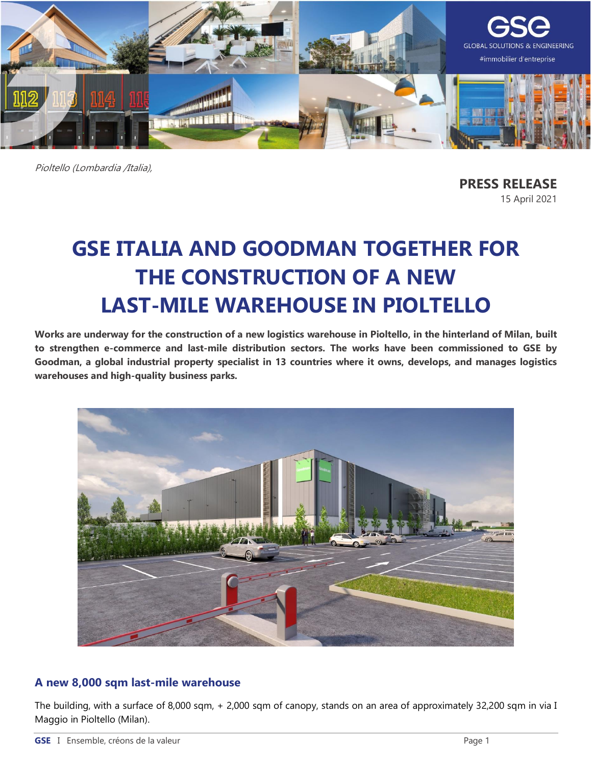

Pioltello (Lombardia /Italia),

**PRESS RELEASE** 15 April 2021

# **GSE ITALIA AND GOODMAN TOGETHER FOR THE CONSTRUCTION OF A NEW LAST-MILE WAREHOUSE IN PIOLTELLO**

**Works are underway for the construction of a new logistics warehouse in Pioltello, in the hinterland of Milan, built to strengthen e-commerce and last-mile distribution sectors. The works have been commissioned to GSE by Goodman, a global industrial property specialist in 13 countries where it owns, develops, and manages logistics warehouses and high-quality business parks.**



### **A new 8,000 sqm last-mile warehouse**

The building, with a surface of 8,000 sqm, + 2,000 sqm of canopy, stands on an area of approximately 32,200 sqm in via I Maggio in Pioltello (Milan).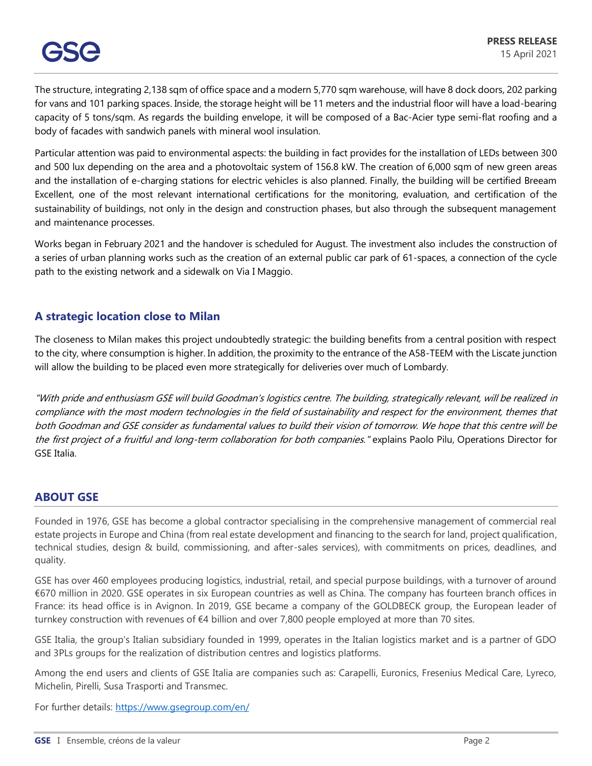The structure, integrating 2,138 sqm of office space and a modern 5,770 sqm warehouse, will have 8 dock doors, 202 parking for vans and 101 parking spaces. Inside, the storage height will be 11 meters and the industrial floor will have a load-bearing capacity of 5 tons/sqm. As regards the building envelope, it will be composed of a Bac-Acier type semi-flat roofing and a body of facades with sandwich panels with mineral wool insulation.

Particular attention was paid to environmental aspects: the building in fact provides for the installation of LEDs between 300 and 500 lux depending on the area and a photovoltaic system of 156.8 kW. The creation of 6,000 sqm of new green areas and the installation of e-charging stations for electric vehicles is also planned. Finally, the building will be certified Breeam Excellent, one of the most relevant international certifications for the monitoring, evaluation, and certification of the sustainability of buildings, not only in the design and construction phases, but also through the subsequent management and maintenance processes.

Works began in February 2021 and the handover is scheduled for August. The investment also includes the construction of a series of urban planning works such as the creation of an external public car park of 61-spaces, a connection of the cycle path to the existing network and a sidewalk on Via I Maggio.

## **A strategic location close to Milan**

The closeness to Milan makes this project undoubtedly strategic: the building benefits from a central position with respect to the city, where consumption is higher. In addition, the proximity to the entrance of the A58-TEEM with the Liscate junction will allow the building to be placed even more strategically for deliveries over much of Lombardy.

"With pride and enthusiasm GSE will build Goodman's logistics centre. The building, strategically relevant, will be realized in compliance with the most modern technologies in the field of sustainability and respect for the environment, themes that both Goodman and GSE consider as fundamental values to build their vision of tomorrow. We hope that this centre will be the first project of a fruitful and long-term collaboration for both companies." explains Paolo Pilu, Operations Director for GSE Italia.

## **ABOUT GSE**

Founded in 1976, GSE has become a global contractor specialising in the comprehensive management of commercial real estate projects in Europe and China (from real estate development and financing to the search for land, project qualification, technical studies, design & build, commissioning, and after-sales services), with commitments on prices, deadlines, and quality.

GSE has over 460 employees producing logistics, industrial, retail, and special purpose buildings, with a turnover of around €670 million in 2020. GSE operates in six European countries as well as China. The company has fourteen branch offices in France: its head office is in Avignon. In 2019, GSE became a company of the GOLDBECK group, the European leader of turnkey construction with revenues of €4 billion and over 7,800 people employed at more than 70 sites.

GSE Italia, the group's Italian subsidiary founded in 1999, operates in the Italian logistics market and is a partner of GDO and 3PLs groups for the realization of distribution centres and logistics platforms.

Among the end users and clients of GSE Italia are companies such as: Carapelli, Euronics, Fresenius Medical Care, Lyreco, Michelin, Pirelli, Susa Trasporti and Transmec.

For further details:<https://www.gsegroup.com/en/>